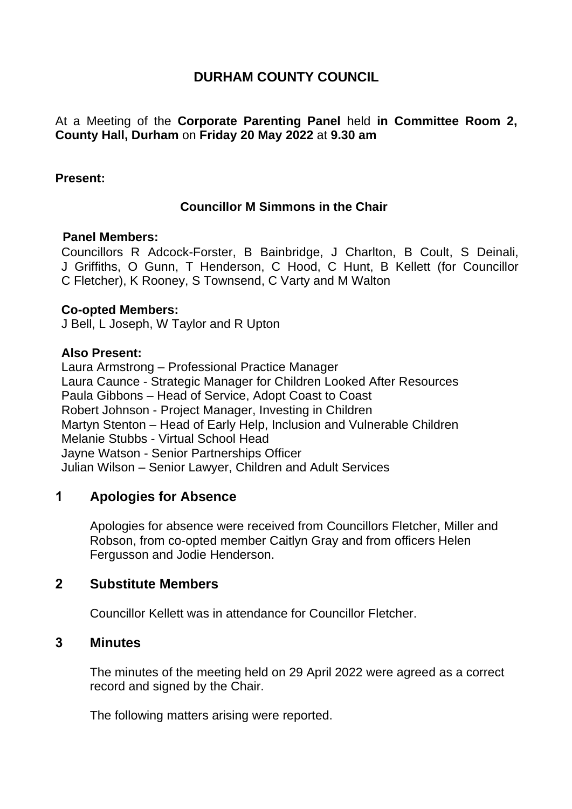# **DURHAM COUNTY COUNCIL**

At a Meeting of the **Corporate Parenting Panel** held **in Committee Room 2, County Hall, Durham** on **Friday 20 May 2022** at **9.30 am**

### **Present:**

### **Councillor M Simmons in the Chair**

#### **Panel Members:**

Councillors R Adcock-Forster, B Bainbridge, J Charlton, B Coult, S Deinali, J Griffiths, O Gunn, T Henderson, C Hood, C Hunt, B Kellett (for Councillor C Fletcher), K Rooney, S Townsend, C Varty and M Walton

#### **Co-opted Members:**

J Bell, L Joseph, W Taylor and R Upton

### **Also Present:**

Laura Armstrong – Professional Practice Manager Laura Caunce - Strategic Manager for Children Looked After Resources Paula Gibbons – Head of Service, Adopt Coast to Coast Robert Johnson - Project Manager, Investing in Children Martyn Stenton – Head of Early Help, Inclusion and Vulnerable Children Melanie Stubbs - Virtual School Head Jayne Watson - Senior Partnerships Officer Julian Wilson – Senior Lawyer, Children and Adult Services

# **1 Apologies for Absence**

Apologies for absence were received from Councillors Fletcher, Miller and Robson, from co-opted member Caitlyn Gray and from officers Helen Fergusson and Jodie Henderson.

### **2 Substitute Members**

Councillor Kellett was in attendance for Councillor Fletcher.

## **3 Minutes**

The minutes of the meeting held on 29 April 2022 were agreed as a correct record and signed by the Chair.

The following matters arising were reported.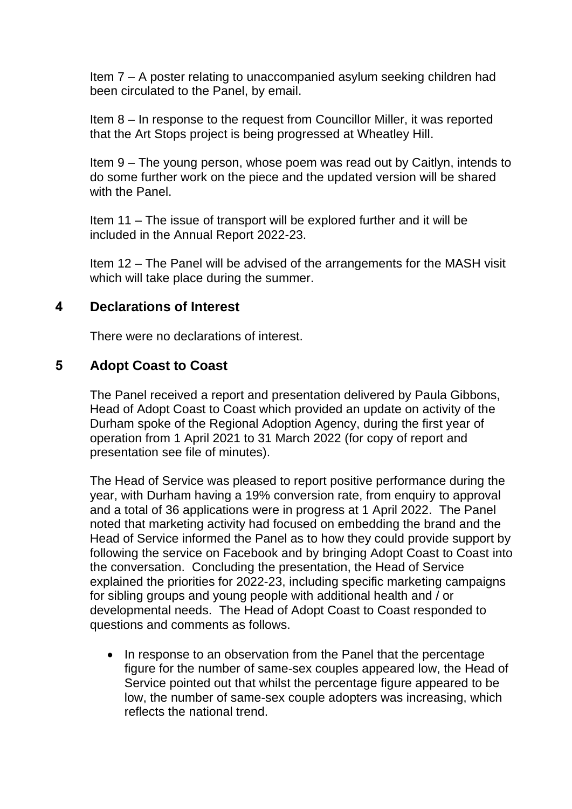Item 7 – A poster relating to unaccompanied asylum seeking children had been circulated to the Panel, by email.

Item 8 – In response to the request from Councillor Miller, it was reported that the Art Stops project is being progressed at Wheatley Hill.

Item 9 – The young person, whose poem was read out by Caitlyn, intends to do some further work on the piece and the updated version will be shared with the Panel.

Item 11 – The issue of transport will be explored further and it will be included in the Annual Report 2022-23.

Item 12 – The Panel will be advised of the arrangements for the MASH visit which will take place during the summer.

## **4 Declarations of Interest**

There were no declarations of interest.

# **5 Adopt Coast to Coast**

The Panel received a report and presentation delivered by Paula Gibbons, Head of Adopt Coast to Coast which provided an update on activity of the Durham spoke of the Regional Adoption Agency, during the first year of operation from 1 April 2021 to 31 March 2022 (for copy of report and presentation see file of minutes).

The Head of Service was pleased to report positive performance during the year, with Durham having a 19% conversion rate, from enquiry to approval and a total of 36 applications were in progress at 1 April 2022. The Panel noted that marketing activity had focused on embedding the brand and the Head of Service informed the Panel as to how they could provide support by following the service on Facebook and by bringing Adopt Coast to Coast into the conversation. Concluding the presentation, the Head of Service explained the priorities for 2022-23, including specific marketing campaigns for sibling groups and young people with additional health and / or developmental needs. The Head of Adopt Coast to Coast responded to questions and comments as follows.

• In response to an observation from the Panel that the percentage figure for the number of same-sex couples appeared low, the Head of Service pointed out that whilst the percentage figure appeared to be low, the number of same-sex couple adopters was increasing, which reflects the national trend.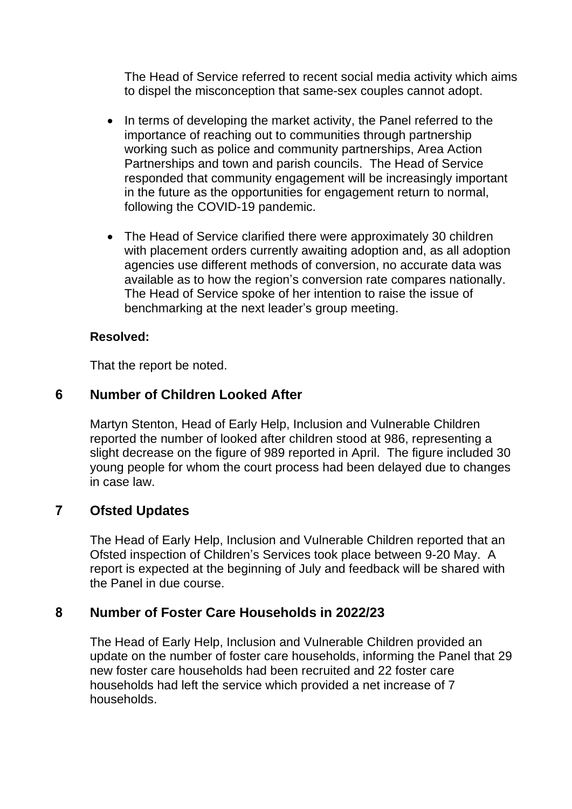The Head of Service referred to recent social media activity which aims to dispel the misconception that same-sex couples cannot adopt.

- In terms of developing the market activity, the Panel referred to the importance of reaching out to communities through partnership working such as police and community partnerships, Area Action Partnerships and town and parish councils. The Head of Service responded that community engagement will be increasingly important in the future as the opportunities for engagement return to normal, following the COVID-19 pandemic.
- The Head of Service clarified there were approximately 30 children with placement orders currently awaiting adoption and, as all adoption agencies use different methods of conversion, no accurate data was available as to how the region's conversion rate compares nationally. The Head of Service spoke of her intention to raise the issue of benchmarking at the next leader's group meeting.

### **Resolved:**

That the report be noted.

# **6 Number of Children Looked After**

Martyn Stenton, Head of Early Help, Inclusion and Vulnerable Children reported the number of looked after children stood at 986, representing a slight decrease on the figure of 989 reported in April. The figure included 30 young people for whom the court process had been delayed due to changes in case law.

# **7 Ofsted Updates**

The Head of Early Help, Inclusion and Vulnerable Children reported that an Ofsted inspection of Children's Services took place between 9-20 May. A report is expected at the beginning of July and feedback will be shared with the Panel in due course.

## **8 Number of Foster Care Households in 2022/23**

The Head of Early Help, Inclusion and Vulnerable Children provided an update on the number of foster care households, informing the Panel that 29 new foster care households had been recruited and 22 foster care households had left the service which provided a net increase of 7 households.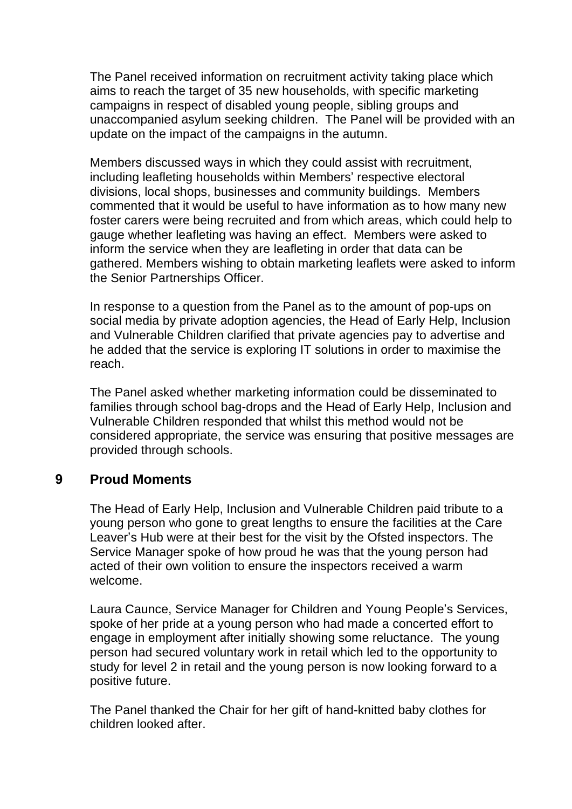The Panel received information on recruitment activity taking place which aims to reach the target of 35 new households, with specific marketing campaigns in respect of disabled young people, sibling groups and unaccompanied asylum seeking children. The Panel will be provided with an update on the impact of the campaigns in the autumn.

Members discussed ways in which they could assist with recruitment, including leafleting households within Members' respective electoral divisions, local shops, businesses and community buildings. Members commented that it would be useful to have information as to how many new foster carers were being recruited and from which areas, which could help to gauge whether leafleting was having an effect. Members were asked to inform the service when they are leafleting in order that data can be gathered. Members wishing to obtain marketing leaflets were asked to inform the Senior Partnerships Officer.

In response to a question from the Panel as to the amount of pop-ups on social media by private adoption agencies, the Head of Early Help, Inclusion and Vulnerable Children clarified that private agencies pay to advertise and he added that the service is exploring IT solutions in order to maximise the reach.

The Panel asked whether marketing information could be disseminated to families through school bag-drops and the Head of Early Help, Inclusion and Vulnerable Children responded that whilst this method would not be considered appropriate, the service was ensuring that positive messages are provided through schools.

# **9 Proud Moments**

The Head of Early Help, Inclusion and Vulnerable Children paid tribute to a young person who gone to great lengths to ensure the facilities at the Care Leaver's Hub were at their best for the visit by the Ofsted inspectors. The Service Manager spoke of how proud he was that the young person had acted of their own volition to ensure the inspectors received a warm welcome.

Laura Caunce, Service Manager for Children and Young People's Services, spoke of her pride at a young person who had made a concerted effort to engage in employment after initially showing some reluctance. The young person had secured voluntary work in retail which led to the opportunity to study for level 2 in retail and the young person is now looking forward to a positive future.

The Panel thanked the Chair for her gift of hand-knitted baby clothes for children looked after.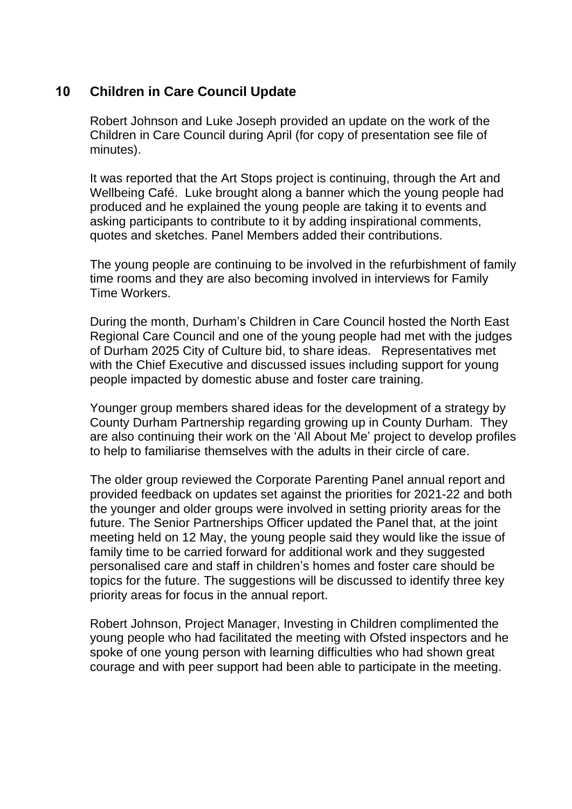# **10 Children in Care Council Update**

Robert Johnson and Luke Joseph provided an update on the work of the Children in Care Council during April (for copy of presentation see file of minutes).

It was reported that the Art Stops project is continuing, through the Art and Wellbeing Café. Luke brought along a banner which the young people had produced and he explained the young people are taking it to events and asking participants to contribute to it by adding inspirational comments, quotes and sketches. Panel Members added their contributions.

The young people are continuing to be involved in the refurbishment of family time rooms and they are also becoming involved in interviews for Family Time Workers.

During the month, Durham's Children in Care Council hosted the North East Regional Care Council and one of the young people had met with the judges of Durham 2025 City of Culture bid, to share ideas. Representatives met with the Chief Executive and discussed issues including support for young people impacted by domestic abuse and foster care training.

Younger group members shared ideas for the development of a strategy by County Durham Partnership regarding growing up in County Durham. They are also continuing their work on the 'All About Me' project to develop profiles to help to familiarise themselves with the adults in their circle of care.

The older group reviewed the Corporate Parenting Panel annual report and provided feedback on updates set against the priorities for 2021-22 and both the younger and older groups were involved in setting priority areas for the future. The Senior Partnerships Officer updated the Panel that, at the joint meeting held on 12 May, the young people said they would like the issue of family time to be carried forward for additional work and they suggested personalised care and staff in children's homes and foster care should be topics for the future. The suggestions will be discussed to identify three key priority areas for focus in the annual report.

Robert Johnson, Project Manager, Investing in Children complimented the young people who had facilitated the meeting with Ofsted inspectors and he spoke of one young person with learning difficulties who had shown great courage and with peer support had been able to participate in the meeting.